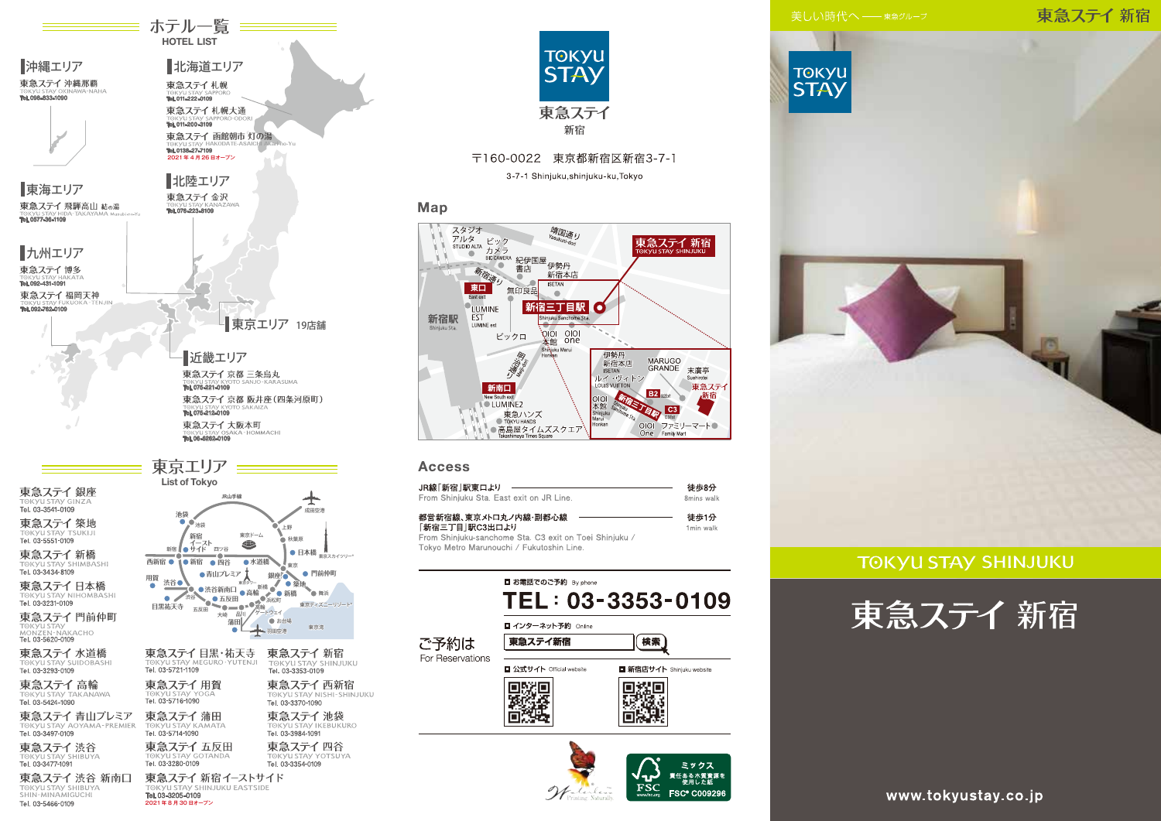東急ステイ新宿



# 東急ステイ

### **TOKYU STAY SHINJUKU**





**━━━** ホテル一覧 ━━━ **HOTEL LIST** 

北海道エリア

東急ステイ 函館朝市 灯の湯

東急ステイ札幌

Tel. 011-222-0109 東急ステイ札幌大通

TORYUSIAY SA

Tel. 0138-27-7109

2021年4月26日オープン

北陸エリア

東急ステイ金沢

■沖縄エリア

東海エリア

one non annum

東急ステイ 沖縄那覇



3-7-1 Shinjuku, shinjuku-ku, Tokyo

### Map



### **Access**

| JR線「新宿 駅東口より                                           | 徒歩8分       |
|--------------------------------------------------------|------------|
| From Shiniuku Sta. East exit on JR Line.               | 8mins walk |
| 都営新宿線、東京メトロ丸ノ内線・副都心線                                   | 徒歩1分       |
| 「新宿三丁目 駅C3出口より                                         | 1min walk  |
| From Shinjuku-sanchome Sta. C3 exit on Toei Shinjuku / |            |

Tokyo Metro Marunouchi / Fukutoshin Line.

|                          | ■ お電話でのご予約 By phone           | TEL: 03-3353-0109                                                  |
|--------------------------|-------------------------------|--------------------------------------------------------------------|
| ご予約は<br>For Reservations | ■ インターネット予約 Online<br>東急ステイ新宿 |                                                                    |
|                          | ■ 公式サイト Official website      | <b>□ 新宿店サイト Shinjuku website</b>                                   |
|                          |                               | ミックス<br>責任ある木質資源を<br>- 使用した紙<br><b>FSC® C009296</b><br>www.fsc.org |